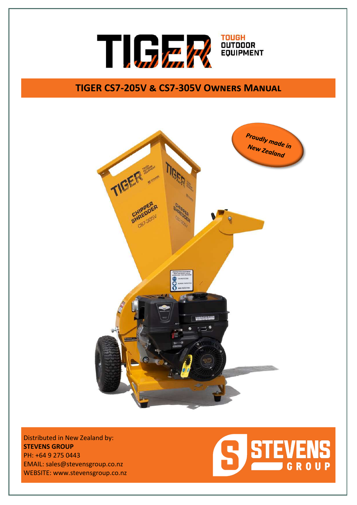

# **TIGER CS7-205V & CS7-305V Owners Manual**



Distributed in New Zealand by: **STEVENS GROUP** PH: +64 9 275 0443 EMAIL: sales@stevensgroup.co.nz WEBSITE: www.stevensgroup.co.nz

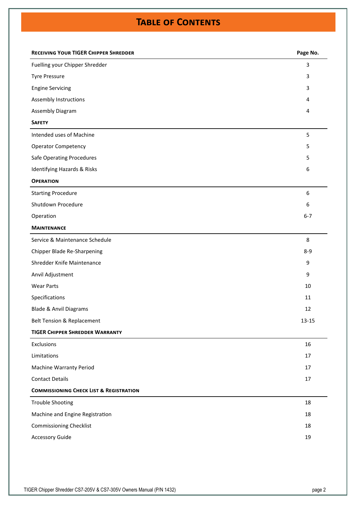# **Table of Contents**

| 3<br>Fuelling your Chipper Shredder<br><b>Tyre Pressure</b><br>3<br><b>Engine Servicing</b><br>3<br>Assembly Instructions<br>4<br>Assembly Diagram<br>4<br><b>SAFETY</b><br>Intended uses of Machine<br>5<br><b>Operator Competency</b><br>5<br><b>Safe Operating Procedures</b><br>5<br>Identifying Hazards & Risks<br>6<br><b>OPERATION</b><br>6<br><b>Starting Procedure</b><br>Shutdown Procedure<br>6<br>$6 - 7$<br>Operation<br><b>MAINTENANCE</b><br>Service & Maintenance Schedule<br>8<br>Chipper Blade Re-Sharpening<br>$8-9$<br>Shredder Knife Maintenance<br>9<br>Anvil Adjustment<br>9<br><b>Wear Parts</b><br>10<br>Specifications<br>11<br><b>Blade &amp; Anvil Diagrams</b><br>12<br>$13 - 15$<br><b>Belt Tension &amp; Replacement</b><br><b>TIGER CHIPPER SHREDDER WARRANTY</b><br>16<br>Exclusions<br>Limitations<br>17<br><b>Machine Warranty Period</b><br>17<br><b>Contact Details</b><br>17<br><b>COMMISSIONING CHECK LIST &amp; REGISTRATION</b><br><b>Trouble Shooting</b><br>18<br>Machine and Engine Registration<br>18<br><b>Commissioning Checklist</b><br>18<br><b>Accessory Guide</b><br>19 | <b>RECEIVING YOUR TIGER CHIPPER SHREDDER</b> | Page No. |
|----------------------------------------------------------------------------------------------------------------------------------------------------------------------------------------------------------------------------------------------------------------------------------------------------------------------------------------------------------------------------------------------------------------------------------------------------------------------------------------------------------------------------------------------------------------------------------------------------------------------------------------------------------------------------------------------------------------------------------------------------------------------------------------------------------------------------------------------------------------------------------------------------------------------------------------------------------------------------------------------------------------------------------------------------------------------------------------------------------------------------|----------------------------------------------|----------|
|                                                                                                                                                                                                                                                                                                                                                                                                                                                                                                                                                                                                                                                                                                                                                                                                                                                                                                                                                                                                                                                                                                                            |                                              |          |
|                                                                                                                                                                                                                                                                                                                                                                                                                                                                                                                                                                                                                                                                                                                                                                                                                                                                                                                                                                                                                                                                                                                            |                                              |          |
|                                                                                                                                                                                                                                                                                                                                                                                                                                                                                                                                                                                                                                                                                                                                                                                                                                                                                                                                                                                                                                                                                                                            |                                              |          |
|                                                                                                                                                                                                                                                                                                                                                                                                                                                                                                                                                                                                                                                                                                                                                                                                                                                                                                                                                                                                                                                                                                                            |                                              |          |
|                                                                                                                                                                                                                                                                                                                                                                                                                                                                                                                                                                                                                                                                                                                                                                                                                                                                                                                                                                                                                                                                                                                            |                                              |          |
|                                                                                                                                                                                                                                                                                                                                                                                                                                                                                                                                                                                                                                                                                                                                                                                                                                                                                                                                                                                                                                                                                                                            |                                              |          |
|                                                                                                                                                                                                                                                                                                                                                                                                                                                                                                                                                                                                                                                                                                                                                                                                                                                                                                                                                                                                                                                                                                                            |                                              |          |
|                                                                                                                                                                                                                                                                                                                                                                                                                                                                                                                                                                                                                                                                                                                                                                                                                                                                                                                                                                                                                                                                                                                            |                                              |          |
|                                                                                                                                                                                                                                                                                                                                                                                                                                                                                                                                                                                                                                                                                                                                                                                                                                                                                                                                                                                                                                                                                                                            |                                              |          |
|                                                                                                                                                                                                                                                                                                                                                                                                                                                                                                                                                                                                                                                                                                                                                                                                                                                                                                                                                                                                                                                                                                                            |                                              |          |
|                                                                                                                                                                                                                                                                                                                                                                                                                                                                                                                                                                                                                                                                                                                                                                                                                                                                                                                                                                                                                                                                                                                            |                                              |          |
|                                                                                                                                                                                                                                                                                                                                                                                                                                                                                                                                                                                                                                                                                                                                                                                                                                                                                                                                                                                                                                                                                                                            |                                              |          |
|                                                                                                                                                                                                                                                                                                                                                                                                                                                                                                                                                                                                                                                                                                                                                                                                                                                                                                                                                                                                                                                                                                                            |                                              |          |
|                                                                                                                                                                                                                                                                                                                                                                                                                                                                                                                                                                                                                                                                                                                                                                                                                                                                                                                                                                                                                                                                                                                            |                                              |          |
|                                                                                                                                                                                                                                                                                                                                                                                                                                                                                                                                                                                                                                                                                                                                                                                                                                                                                                                                                                                                                                                                                                                            |                                              |          |
|                                                                                                                                                                                                                                                                                                                                                                                                                                                                                                                                                                                                                                                                                                                                                                                                                                                                                                                                                                                                                                                                                                                            |                                              |          |
|                                                                                                                                                                                                                                                                                                                                                                                                                                                                                                                                                                                                                                                                                                                                                                                                                                                                                                                                                                                                                                                                                                                            |                                              |          |
|                                                                                                                                                                                                                                                                                                                                                                                                                                                                                                                                                                                                                                                                                                                                                                                                                                                                                                                                                                                                                                                                                                                            |                                              |          |
|                                                                                                                                                                                                                                                                                                                                                                                                                                                                                                                                                                                                                                                                                                                                                                                                                                                                                                                                                                                                                                                                                                                            |                                              |          |
|                                                                                                                                                                                                                                                                                                                                                                                                                                                                                                                                                                                                                                                                                                                                                                                                                                                                                                                                                                                                                                                                                                                            |                                              |          |
|                                                                                                                                                                                                                                                                                                                                                                                                                                                                                                                                                                                                                                                                                                                                                                                                                                                                                                                                                                                                                                                                                                                            |                                              |          |
|                                                                                                                                                                                                                                                                                                                                                                                                                                                                                                                                                                                                                                                                                                                                                                                                                                                                                                                                                                                                                                                                                                                            |                                              |          |
|                                                                                                                                                                                                                                                                                                                                                                                                                                                                                                                                                                                                                                                                                                                                                                                                                                                                                                                                                                                                                                                                                                                            |                                              |          |
|                                                                                                                                                                                                                                                                                                                                                                                                                                                                                                                                                                                                                                                                                                                                                                                                                                                                                                                                                                                                                                                                                                                            |                                              |          |
|                                                                                                                                                                                                                                                                                                                                                                                                                                                                                                                                                                                                                                                                                                                                                                                                                                                                                                                                                                                                                                                                                                                            |                                              |          |
|                                                                                                                                                                                                                                                                                                                                                                                                                                                                                                                                                                                                                                                                                                                                                                                                                                                                                                                                                                                                                                                                                                                            |                                              |          |
|                                                                                                                                                                                                                                                                                                                                                                                                                                                                                                                                                                                                                                                                                                                                                                                                                                                                                                                                                                                                                                                                                                                            |                                              |          |
|                                                                                                                                                                                                                                                                                                                                                                                                                                                                                                                                                                                                                                                                                                                                                                                                                                                                                                                                                                                                                                                                                                                            |                                              |          |
|                                                                                                                                                                                                                                                                                                                                                                                                                                                                                                                                                                                                                                                                                                                                                                                                                                                                                                                                                                                                                                                                                                                            |                                              |          |
|                                                                                                                                                                                                                                                                                                                                                                                                                                                                                                                                                                                                                                                                                                                                                                                                                                                                                                                                                                                                                                                                                                                            |                                              |          |
|                                                                                                                                                                                                                                                                                                                                                                                                                                                                                                                                                                                                                                                                                                                                                                                                                                                                                                                                                                                                                                                                                                                            |                                              |          |
|                                                                                                                                                                                                                                                                                                                                                                                                                                                                                                                                                                                                                                                                                                                                                                                                                                                                                                                                                                                                                                                                                                                            |                                              |          |
|                                                                                                                                                                                                                                                                                                                                                                                                                                                                                                                                                                                                                                                                                                                                                                                                                                                                                                                                                                                                                                                                                                                            |                                              |          |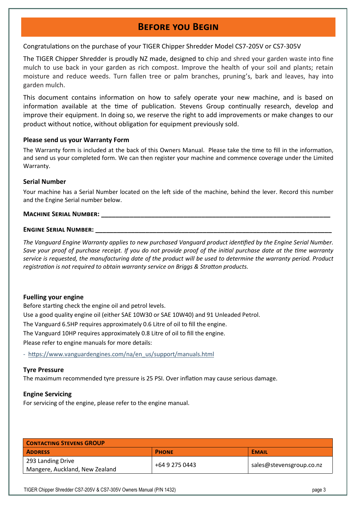# **Before you Begin**

Congratulations on the purchase of your TIGER Chipper Shredder Model CS7-205V or CS7-305V

The TIGER Chipper Shredder is proudly NZ made, designed to chip and shred your garden waste into fine mulch to use back in your garden as rich compost. Improve the health of your soil and plants; retain moisture and reduce weeds. Turn fallen tree or palm branches, pruning's, bark and leaves, hay into garden mulch.

This document contains information on how to safely operate your new machine, and is based on information available at the time of publication. Stevens Group continually research, develop and improve their equipment. In doing so, we reserve the right to add improvements or make changes to our product without notice, without obligation for equipment previously sold.

### **Please send us your Warranty Form**

The Warranty form is included at the back of this Owners Manual. Please take the time to fill in the information, and send us your completed form. We can then register your machine and commence coverage under the Limited Warranty.

## **Serial Number**

Your machine has a Serial Number located on the left side of the machine, behind the lever. Record this number and the Engine Serial number below.

## **MACHINE SERIAL NUMBER:**

### **ENGINE SERIAL NUMBER:**

*The Vanguard Engine Warranty applies to new purchased Vanguard product identified by the Engine Serial Number. Save your proof of purchase receipt. If you do not provide proof of the initial purchase date at the time warranty service is requested, the manufacturing date of the product will be used to determine the warranty period. Product registration is not required to obtain warranty service on Briggs & Stratton products.* 

# **Fuelling your engine**

Before starting check the engine oil and petrol levels. Use a good quality engine oil (either SAE 10W30 or SAE 10W40) and 91 Unleaded Petrol. The Vanguard 6.5HP requires approximately 0.6 Litre of oil to fill the engine. The Vanguard 10HP requires approximately 0.8 Litre of oil to fill the engine. Please refer to engine manuals for more details:

- https://www.vanguardengines.com/na/en\_us/support/manuals.html

### **Tyre Pressure**

The maximum recommended tyre pressure is 25 PSI. Over inflation may cause serious damage.

# **Engine Servicing**

For servicing of the engine, please refer to the engine manual.

| <b>CONTACTING STEVENS GROUP</b> |                |                          |  |
|---------------------------------|----------------|--------------------------|--|
| <b>ADDRESS</b>                  | <b>PHONE</b>   | <b>EMAIL</b>             |  |
| 293 Landing Drive               |                |                          |  |
| Mangere, Auckland, New Zealand  | +64 9 275 0443 | sales@stevensgroup.co.nz |  |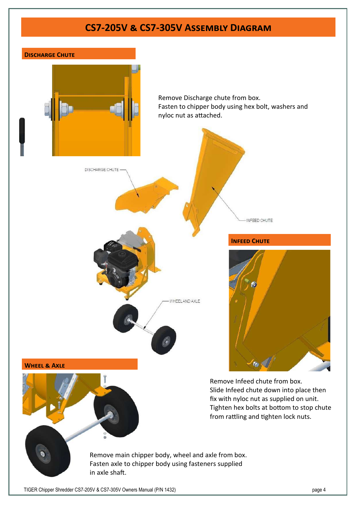# **CS7-205V & CS7-305V Assembly Diagram**

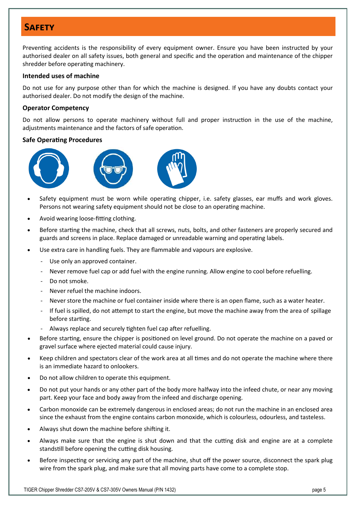# **Safety**

Preventing accidents is the responsibility of every equipment owner. Ensure you have been instructed by your authorised dealer on all safety issues, both general and specific and the operation and maintenance of the chipper shredder before operating machinery.

## **Intended uses of machine**

Do not use for any purpose other than for which the machine is designed. If you have any doubts contact your authorised dealer. Do not modify the design of the machine.

## **Operator Competency**

Do not allow persons to operate machinery without full and proper instruction in the use of the machine, adjustments maintenance and the factors of safe operation.

## **Safe Operating Procedures**







- Safety equipment must be worn while operating chipper, i.e. safety glasses, ear muffs and work gloves. Persons not wearing safety equipment should not be close to an operating machine.
- Avoid wearing loose-fitting clothing.
- Before starting the machine, check that all screws, nuts, bolts, and other fasteners are properly secured and guards and screens in place. Replace damaged or unreadable warning and operating labels.
- Use extra care in handling fuels. They are flammable and vapours are explosive.
	- Use only an approved container.
	- Never remove fuel cap or add fuel with the engine running. Allow engine to cool before refuelling.
	- Do not smoke.
	- Never refuel the machine indoors.
	- Never store the machine or fuel container inside where there is an open flame, such as a water heater.
	- If fuel is spilled, do not attempt to start the engine, but move the machine away from the area of spillage before starting.
	- Always replace and securely tighten fuel cap after refuelling.
- Before starting, ensure the chipper is positioned on level ground. Do not operate the machine on a paved or gravel surface where ejected material could cause injury.
- Keep children and spectators clear of the work area at all times and do not operate the machine where there is an immediate hazard to onlookers.
- Do not allow children to operate this equipment.
- Do not put your hands or any other part of the body more halfway into the infeed chute, or near any moving part. Keep your face and body away from the infeed and discharge opening.
- Carbon monoxide can be extremely dangerous in enclosed areas; do not run the machine in an enclosed area since the exhaust from the engine contains carbon monoxide, which is colourless, odourless, and tasteless.
- Always shut down the machine before shifting it.
- Always make sure that the engine is shut down and that the cutting disk and engine are at a complete standstill before opening the cutting disk housing.
- Before inspecting or servicing any part of the machine, shut off the power source, disconnect the spark plug wire from the spark plug, and make sure that all moving parts have come to a complete stop.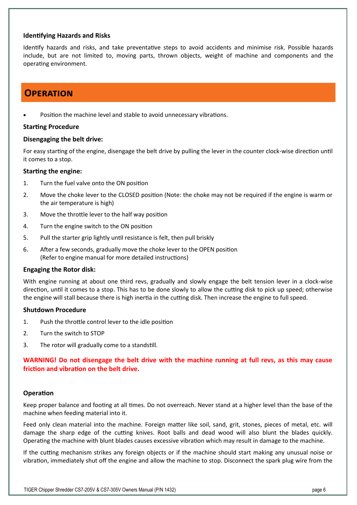### **Identifying Hazards and Risks**

Identify hazards and risks, and take preventative steps to avoid accidents and minimise risk. Possible hazards include, but are not limited to, moving parts, thrown objects, weight of machine and components and the operating environment.

# **Operation**

Position the machine level and stable to avoid unnecessary vibrations.

## **Starting Procedure**

## **Disengaging the belt drive:**

For easy starting of the engine, disengage the belt drive by pulling the lever in the counter clock-wise direction until it comes to a stop.

## **Starting the engine:**

- 1. Turn the fuel valve onto the ON position
- 2. Move the choke lever to the CLOSED position (Note: the choke may not be required if the engine is warm or the air temperature is high)
- 3. Move the throttle lever to the half way position
- 4. Turn the engine switch to the ON position
- 5. Pull the starter grip lightly until resistance is felt, then pull briskly
- 6. After a few seconds, gradually move the choke lever to the OPEN position (Refer to engine manual for more detailed instructions)

# **Engaging the Rotor disk:**

With engine running at about one third revs, gradually and slowly engage the belt tension lever in a clock-wise direction, until it comes to a stop. This has to be done slowly to allow the cutting disk to pick up speed; otherwise the engine will stall because there is high inertia in the cutting disk. Then increase the engine to full speed.

### **Shutdown Procedure**

- 1. Push the throttle control lever to the idle position
- 2. Turn the switch to STOP
- 3. The rotor will gradually come to a standstill.

**WARNING! Do not disengage the belt drive with the machine running at full revs, as this may cause friction and vibration on the belt drive.** 

# **Operation**

Keep proper balance and footing at all times. Do not overreach. Never stand at a higher level than the base of the machine when feeding material into it.

Feed only clean material into the machine. Foreign matter like soil, sand, grit, stones, pieces of metal, etc. will damage the sharp edge of the cutting knives. Root balls and dead wood will also blunt the blades quickly. Operating the machine with blunt blades causes excessive vibration which may result in damage to the machine.

If the cutting mechanism strikes any foreign objects or if the machine should start making any unusual noise or vibration, immediately shut off the engine and allow the machine to stop. Disconnect the spark plug wire from the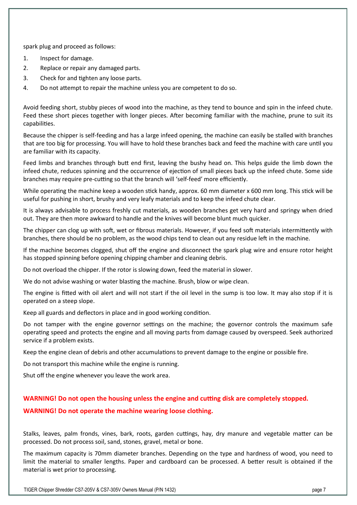spark plug and proceed as follows:

- 1. Inspect for damage.
- 2. Replace or repair any damaged parts.
- 3. Check for and tighten any loose parts.
- 4. Do not attempt to repair the machine unless you are competent to do so.

Avoid feeding short, stubby pieces of wood into the machine, as they tend to bounce and spin in the infeed chute. Feed these short pieces together with longer pieces. After becoming familiar with the machine, prune to suit its capabilities.

Because the chipper is self-feeding and has a large infeed opening, the machine can easily be stalled with branches that are too big for processing. You will have to hold these branches back and feed the machine with care until you are familiar with its capacity.

Feed limbs and branches through butt end first, leaving the bushy head on. This helps guide the limb down the infeed chute, reduces spinning and the occurrence of ejection of small pieces back up the infeed chute. Some side branches may require pre-cutting so that the branch will 'self-feed' more efficiently.

While operating the machine keep a wooden stick handy, approx. 60 mm diameter x 600 mm long. This stick will be useful for pushing in short, brushy and very leafy materials and to keep the infeed chute clear.

It is always advisable to process freshly cut materials, as wooden branches get very hard and springy when dried out. They are then more awkward to handle and the knives will become blunt much quicker.

The chipper can clog up with soft, wet or fibrous materials. However, if you feed soft materials intermittently with branches, there should be no problem, as the wood chips tend to clean out any residue left in the machine.

If the machine becomes clogged, shut off the engine and disconnect the spark plug wire and ensure rotor height has stopped spinning before opening chipping chamber and cleaning debris.

Do not overload the chipper. If the rotor is slowing down, feed the material in slower.

We do not advise washing or water blasting the machine. Brush, blow or wipe clean.

The engine is fitted with oil alert and will not start if the oil level in the sump is too low. It may also stop if it is operated on a steep slope.

Keep all guards and deflectors in place and in good working condition.

Do not tamper with the engine governor settings on the machine; the governor controls the maximum safe operating speed and protects the engine and all moving parts from damage caused by overspeed. Seek authorized service if a problem exists.

Keep the engine clean of debris and other accumulations to prevent damage to the engine or possible fire.

Do not transport this machine while the engine is running.

Shut off the engine whenever you leave the work area.

### **WARNING! Do not open the housing unless the engine and cutting disk are completely stopped.**

### **WARNING! Do not operate the machine wearing loose clothing.**

Stalks, leaves, palm fronds, vines, bark, roots, garden cuttings, hay, dry manure and vegetable matter can be processed. Do not process soil, sand, stones, gravel, metal or bone.

The maximum capacity is 70mm diameter branches. Depending on the type and hardness of wood, you need to limit the material to smaller lengths. Paper and cardboard can be processed. A better result is obtained if the material is wet prior to processing.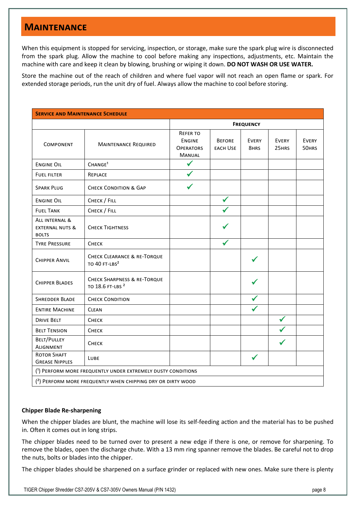# **Maintenance**

When this equipment is stopped for servicing, inspection, or storage, make sure the spark plug wire is disconnected from the spark plug. Allow the machine to cool before making any inspections, adjustments, etc. Maintain the machine with care and keep it clean by blowing, brushing or wiping it down. **DO NOT WASH OR USE WATER.** 

Store the machine out of the reach of children and where fuel vapor will not reach an open flame or spark. For extended storage periods, run the unit dry of fuel. Always allow the machine to cool before storing.

| <b>SERVICE AND MAINTENANCE SCHEDULE</b>                      |                                                                        |                                                                |                                  |                      |                       |                       |
|--------------------------------------------------------------|------------------------------------------------------------------------|----------------------------------------------------------------|----------------------------------|----------------------|-----------------------|-----------------------|
|                                                              |                                                                        | <b>FREQUENCY</b>                                               |                                  |                      |                       |                       |
| <b>COMPONENT</b>                                             | <b>MAINTENANCE REQUIRED</b>                                            | <b>REFER TO</b><br><b>ENGINE</b><br><b>OPERATORS</b><br>MANUAL | <b>BEFORE</b><br><b>EACH USE</b> | <b>EVERY</b><br>8HRS | <b>EVERY</b><br>25HRS | <b>EVERY</b><br>50HRS |
| <b>ENGINE OIL</b>                                            | CHANGE <sup>1</sup>                                                    | $\checkmark$                                                   |                                  |                      |                       |                       |
| <b>FUEL FILTER</b>                                           | REPLACE                                                                | $\checkmark$                                                   |                                  |                      |                       |                       |
| <b>SPARK PLUG</b>                                            | <b>CHECK CONDITION &amp; GAP</b>                                       | ✔                                                              |                                  |                      |                       |                       |
| <b>ENGINE OIL</b>                                            | CHECK / FILL                                                           |                                                                | ✔                                |                      |                       |                       |
| <b>FUEL TANK</b>                                             | CHECK / FILL                                                           |                                                                |                                  |                      |                       |                       |
| ALL INTERNAL &<br><b>EXTERNAL NUTS &amp;</b><br><b>BOLTS</b> | <b>CHECK TIGHTNESS</b>                                                 |                                                                |                                  |                      |                       |                       |
| <b>TYRE PRESSURE</b>                                         | Снеск                                                                  |                                                                |                                  |                      |                       |                       |
| <b>CHIPPER ANVIL</b>                                         | <b>CHECK CLEARANCE &amp; RE-TORQUE</b><br>TO 40 FT-LBS <sup>2</sup>    |                                                                |                                  |                      |                       |                       |
| <b>CHIPPER BLADES</b>                                        | <b>CHECK SHARPNESS &amp; RE-TORQUE</b><br>TO 18.6 FT-LBS <sup>2</sup>  |                                                                |                                  |                      |                       |                       |
| <b>SHREDDER BLADE</b>                                        | <b>CHECK CONDITION</b>                                                 |                                                                |                                  |                      |                       |                       |
| <b>ENTIRE MACHINE</b>                                        | <b>CLEAN</b>                                                           |                                                                |                                  |                      |                       |                       |
| <b>DRIVE BELT</b>                                            | СНЕСК                                                                  |                                                                |                                  |                      | ✔                     |                       |
| <b>BELT TENSION</b>                                          | Снеск                                                                  |                                                                |                                  |                      |                       |                       |
| BELT/PULLEY<br><b>ALIGNMENT</b>                              | Снеск                                                                  |                                                                |                                  |                      |                       |                       |
| <b>ROTOR SHAFT</b><br><b>GREASE NIPPLES</b>                  | LUBE                                                                   |                                                                |                                  |                      |                       |                       |
| (1) PERFORM MORE FREQUENTLY UNDER EXTREMELY DUSTY CONDITIONS |                                                                        |                                                                |                                  |                      |                       |                       |
|                                                              | <sup>(2)</sup> PERFORM MORE FREQUENTLY WHEN CHIPPING DRY OR DIRTY WOOD |                                                                |                                  |                      |                       |                       |

### **Chipper Blade Re-sharpening**

When the chipper blades are blunt, the machine will lose its self-feeding action and the material has to be pushed in. Often it comes out in long strips.

The chipper blades need to be turned over to present a new edge if there is one, or remove for sharpening. To remove the blades, open the discharge chute. With a 13 mm ring spanner remove the blades. Be careful not to drop the nuts, bolts or blades into the chipper.

The chipper blades should be sharpened on a surface grinder or replaced with new ones. Make sure there is plenty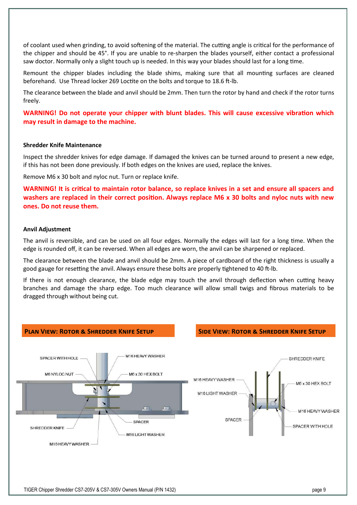of coolant used when grinding, to avoid softening of the material. The cutting angle is critical for the performance of the chipper and should be 45°. If you are unable to re-sharpen the blades yourself, either contact a professional saw doctor. Normally only a slight touch up is needed. In this way your blades should last for a long time.

Remount the chipper blades including the blade shims, making sure that all mounting surfaces are cleaned beforehand. Use Thread locker 269 Loctite on the bolts and torque to 18.6 ft-lb.

The clearance between the blade and anvil should be 2mm. Then turn the rotor by hand and check if the rotor turns freely.

**WARNING! Do not operate your chipper with blunt blades. This will cause excessive vibration which may result in damage to the machine.** 

#### **Shredder Knife Maintenance**

Inspect the shredder knives for edge damage. If damaged the knives can be turned around to present a new edge, if this has not been done previously. If both edges on the knives are used, replace the knives.

Remove M6 x 30 bolt and nyloc nut. Turn or replace knife.

**WARNING! It is critical to maintain rotor balance, so replace knives in a set and ensure all spacers and washers are replaced in their correct position. Always replace M6 x 30 bolts and nyloc nuts with new ones. Do not reuse them.** 

#### **Anvil Adjustment**

The anvil is reversible, and can be used on all four edges. Normally the edges will last for a long time. When the edge is rounded off, it can be reversed. When all edges are worn, the anvil can be sharpened or replaced.

The clearance between the blade and anvil should be 2mm. A piece of cardboard of the right thickness is usually a good gauge for resetting the anvil. Always ensure these bolts are properly tightened to 40 ft-lb.

If there is not enough clearance, the blade edge may touch the anvil through deflection when cutting heavy branches and damage the sharp edge. Too much clearance will allow small twigs and fibrous materials to be dragged through without being cut.

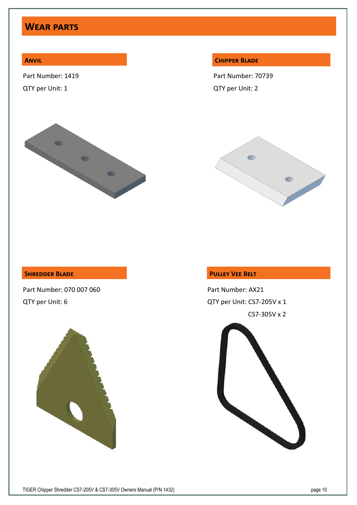# **Wear parts**

# **Anvil**

Part Number: 1419

QTY per Unit: 1



#### **Chipper Blade**

Part Number: 70739 QTY per Unit: 2



## **Shredder Blade**

Part Number: 070 007 060 QTY per Unit: 6



# **Pulley Vee Belt**

Part Number: AX21 QTY per Unit: CS7-205V x 1 CS7-305V x 2

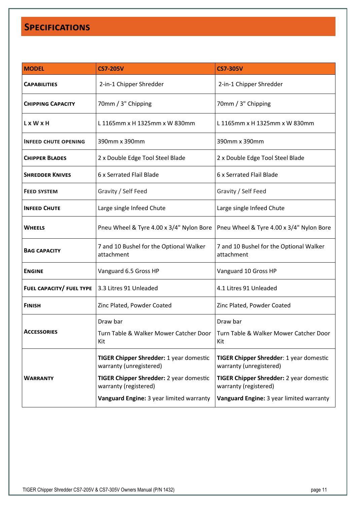# **Specifications**

| <b>MODEL</b>                | <b>CS7-205V</b>                                                    | <b>CS7-305V</b>                                                           |
|-----------------------------|--------------------------------------------------------------------|---------------------------------------------------------------------------|
| <b>CAPABILITIES</b>         | 2-in-1 Chipper Shredder                                            | 2-in-1 Chipper Shredder                                                   |
| <b>CHIPPING CAPACITY</b>    | 70mm / 3" Chipping                                                 | 70mm / 3" Chipping                                                        |
| L x W x H                   | L 1165mm x H 1325mm x W 830mm                                      | L 1165mm x H 1325mm x W 830mm                                             |
| <b>INFEED CHUTE OPENING</b> | 390mm x 390mm                                                      | 390mm x 390mm                                                             |
| <b>CHIPPER BLADES</b>       | 2 x Double Edge Tool Steel Blade                                   | 2 x Double Edge Tool Steel Blade                                          |
| <b>SHREDDER KNIVES</b>      | 6 x Serrated Flail Blade                                           | 6 x Serrated Flail Blade                                                  |
| <b>FEED SYSTEM</b>          | Gravity / Self Feed                                                | Gravity / Self Feed                                                       |
| <b>INFEED CHUTE</b>         | Large single Infeed Chute                                          | Large single Infeed Chute                                                 |
| <b>WHEELS</b>               | Pneu Wheel & Tyre 4.00 x 3/4" Nylon Bore                           | Pneu Wheel & Tyre 4.00 x 3/4" Nylon Bore                                  |
| <b>BAG CAPACITY</b>         | 7 and 10 Bushel for the Optional Walker<br>attachment              | 7 and 10 Bushel for the Optional Walker<br>attachment                     |
| <b>ENGINE</b>               | Vanguard 6.5 Gross HP                                              | Vanguard 10 Gross HP                                                      |
| FUEL CAPACITY/ FUEL TYPE    | 3.3 Litres 91 Unleaded                                             | 4.1 Litres 91 Unleaded                                                    |
| <b>FINISH</b>               | Zinc Plated, Powder Coated                                         | Zinc Plated, Powder Coated                                                |
|                             | Draw bar                                                           | Draw bar                                                                  |
| ACCESSORIES                 | Turn Table & Walker Mower Catcher Door<br>Kit                      | Turn Table & Walker Mower Catcher Door<br>Kit                             |
|                             | TIGER Chipper Shredder: 1 year domestic<br>warranty (unregistered) | <b>TIGER Chipper Shredder: 1 year domestic</b><br>warranty (unregistered) |
| <b>WARRANTY</b>             | TIGER Chipper Shredder: 2 year domestic<br>warranty (registered)   | <b>TIGER Chipper Shredder: 2 year domestic</b><br>warranty (registered)   |
|                             | Vanguard Engine: 3 year limited warranty                           | Vanguard Engine: 3 year limited warranty                                  |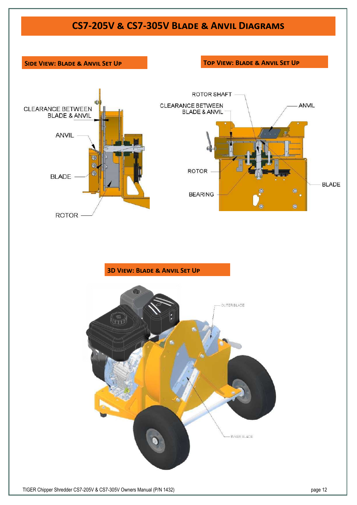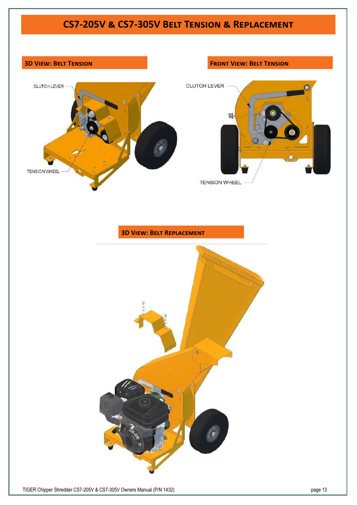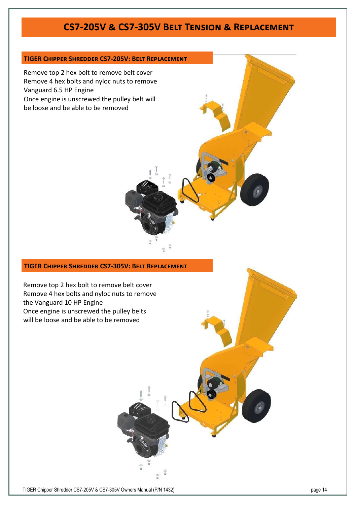# **CS7-205V & CS7-305V Belt Tension & Replacement**

## **TIGER Chipper Shredder CS7-205V: Belt Replacement**

Remove top 2 hex bolt to remove belt cover Remove 4 hex bolts and nyloc nuts to remove Vanguard 6.5 HP Engine Once engine is unscrewed the pulley belt will be loose and be able to be removed

#### **TIGER Chipper Shredder CS7-305V: Belt Replacement**

Remove top 2 hex bolt to remove belt cover Remove 4 hex bolts and nyloc nuts to remove the Vanguard 10 HP Engine Once engine is unscrewed the pulley belts will be loose and be able to be removed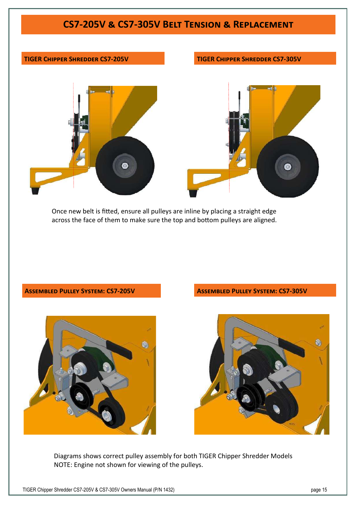# **CS7-205V & CS7-305V Belt Tension & Replacement**

## **TIGER Chipper Shredder CS7-205V TIGER Chipper Shredder CS7-305V**





Once new belt is fitted, ensure all pulleys are inline by placing a straight edge across the face of them to make sure the top and bottom pulleys are aligned.

#### **Assembled Pulley System: CS7-205V Assembled Pulley System: CS7-305V**





Diagrams shows correct pulley assembly for both TIGER Chipper Shredder Models NOTE: Engine not shown for viewing of the pulleys.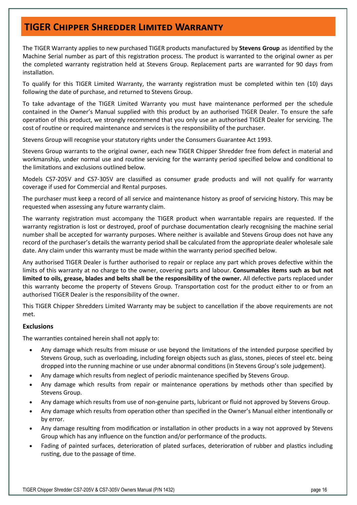# **TIGER Chipper Shredder Limited Warranty**

The TIGER Warranty applies to new purchased TIGER products manufactured by **Stevens Group** as identified by the Machine Serial number as part of this registration process. The product is warranted to the original owner as per the completed warranty registration held at Stevens Group. Replacement parts are warranted for 90 days from installation.

To qualify for this TIGER Limited Warranty, the warranty registration must be completed within ten (10) days following the date of purchase, and returned to Stevens Group.

To take advantage of the TIGER Limited Warranty you must have maintenance performed per the schedule contained in the Owner's Manual supplied with this product by an authorised TIGER Dealer. To ensure the safe operation of this product, we strongly recommend that you only use an authorised TIGER Dealer for servicing. The cost of routine or required maintenance and services is the responsibility of the purchaser.

Stevens Group will recognise your statutory rights under the Consumers Guarantee Act 1993.

Stevens Group warrants to the original owner, each new TIGER Chipper Shredder free from defect in material and workmanship, under normal use and routine servicing for the warranty period specified below and conditional to the limitations and exclusions outlined below.

Models CS7-205V and CS7-305V are classified as consumer grade products and will not qualify for warranty coverage if used for Commercial and Rental purposes.

The purchaser must keep a record of all service and maintenance history as proof of servicing history. This may be requested when assessing any future warranty claim.

The warranty registration must accompany the TIGER product when warrantable repairs are requested. If the warranty registration is lost or destroyed, proof of purchase documentation clearly recognising the machine serial number shall be accepted for warranty purposes. Where neither is available and Stevens Group does not have any record of the purchaser's details the warranty period shall be calculated from the appropriate dealer wholesale sale date. Any claim under this warranty must be made within the warranty period specified below.

Any authorised TIGER Dealer is further authorised to repair or replace any part which proves defective within the limits of this warranty at no charge to the owner, covering parts and labour. **Consumables items such as but not limited to oils, grease, blades and belts shall be the responsibility of the owner.** All defective parts replaced under this warranty become the property of Stevens Group. Transportation cost for the product either to or from an authorised TIGER Dealer is the responsibility of the owner.

This TIGER Chipper Shredders Limited Warranty may be subject to cancellation if the above requirements are not met.

### **Exclusions**

The warranties contained herein shall not apply to:

- Any damage which results from misuse or use beyond the limitations of the intended purpose specified by Stevens Group, such as overloading, including foreign objects such as glass, stones, pieces of steel etc. being dropped into the running machine or use under abnormal conditions (in Stevens Group's sole judgement).
- Any damage which results from neglect of periodic maintenance specified by Stevens Group.
- Any damage which results from repair or maintenance operations by methods other than specified by Stevens Group.
- Any damage which results from use of non-genuine parts, lubricant or fluid not approved by Stevens Group.
- Any damage which results from operation other than specified in the Owner's Manual either intentionally or by error.
- Any damage resulting from modification or installation in other products in a way not approved by Stevens Group which has any influence on the function and/or performance of the products.
- Fading of painted surfaces, deterioration of plated surfaces, deterioration of rubber and plastics including rusting, due to the passage of time.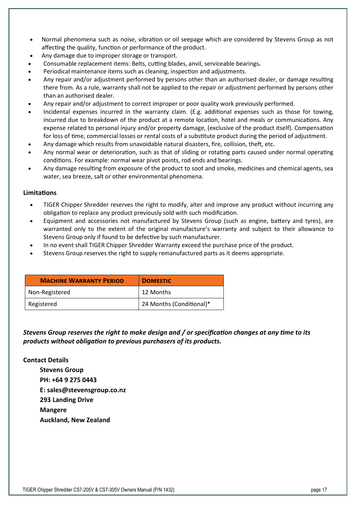- Normal phenomena such as noise, vibration or oil seepage which are considered by Stevens Group as not affecting the quality, function or performance of the product.
- Any damage due to improper storage or transport.
- Consumable replacement items: Belts, cutting blades, anvil, serviceable bearings**.**
- Periodical maintenance items such as cleaning, inspection and adjustments.
- Any repair and/or adjustment performed by persons other than an authorised dealer, or damage resulting there from. As a rule, warranty shall not be applied to the repair or adjustment performed by persons other than an authorised dealer.
- Any repair and/or adjustment to correct improper or poor quality work previously performed.
- Incidental expenses incurred in the warranty claim. (E.g. additional expenses such as those for towing, incurred due to breakdown of the product at a remote location, hotel and meals or communications. Any expense related to personal injury and/or property damage, (exclusive of the product itself). Compensation for loss of time, commercial losses or rental costs of a substitute product during the period of adjustment.
- Any damage which results from unavoidable natural disasters, fire, collision, theft, etc.
- Any normal wear or deterioration, such as that of sliding or rotating parts caused under normal operating conditions. For example: normal wear pivot points, rod ends and bearings.
- Any damage resulting from exposure of the product to soot and smoke, medicines and chemical agents, sea water, sea breeze, salt or other environmental phenomena.

## **Limitations**

- TIGER Chipper Shredder reserves the right to modify, alter and improve any product without incurring any obligation to replace any product previously sold with such modification.
- Equipment and accessories not manufactured by Stevens Group (such as engine, battery and tyres), are warranted only to the extent of the original manufacture's warranty and subject to their allowance to Stevens Group only if found to be defective by such manufacturer.
- In no event shall TIGER Chipper Shredder Warranty exceed the purchase price of the product.
- Stevens Group reserves the right to supply remanufactured parts as it deems appropriate.

| <b>MACHINE WARRANTY PERIOD</b> | <b>DOMESTIC</b>          |
|--------------------------------|--------------------------|
| Non-Registered                 | 12 Months                |
| Registered                     | 24 Months (Conditional)* |

# *Stevens Group reserves the right to make design and / or specification changes at any time to its products without obligation to previous purchasers of its products.*

# **Contact Details**

**Stevens Group PH: +64 9 275 0443 E: sales@stevensgroup.co.nz 293 Landing Drive Mangere Auckland, New Zealand**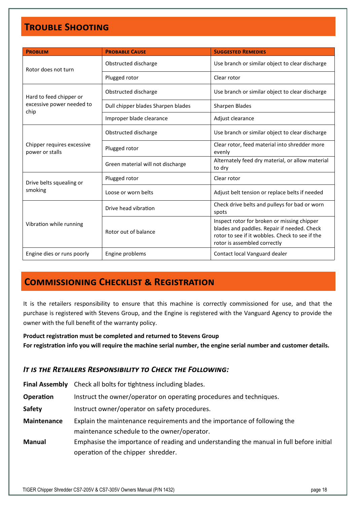# **Trouble Shooting**

| <b>PROBLEM</b>                                               | <b>PROBABLE CAUSE</b>              | <b>SUGGESTED REMEDIES</b>                                                                                                                                                     |  |
|--------------------------------------------------------------|------------------------------------|-------------------------------------------------------------------------------------------------------------------------------------------------------------------------------|--|
| Rotor does not turn                                          | Obstructed discharge               | Use branch or similar object to clear discharge                                                                                                                               |  |
|                                                              | Plugged rotor                      | Clear rotor                                                                                                                                                                   |  |
| Hard to feed chipper or<br>excessive power needed to<br>chip | Obstructed discharge               | Use branch or similar object to clear discharge                                                                                                                               |  |
|                                                              | Dull chipper blades Sharpen blades | Sharpen Blades                                                                                                                                                                |  |
|                                                              | Improper blade clearance           | Adjust clearance                                                                                                                                                              |  |
| Chipper requires excessive<br>power or stalls                | Obstructed discharge               | Use branch or similar object to clear discharge                                                                                                                               |  |
|                                                              | Plugged rotor                      | Clear rotor, feed material into shredder more<br>evenly                                                                                                                       |  |
|                                                              | Green material will not discharge  | Alternately feed dry material, or allow material<br>to dry                                                                                                                    |  |
| Drive belts squealing or<br>smoking                          | Plugged rotor                      | Clear rotor                                                                                                                                                                   |  |
|                                                              | Loose or worn belts                | Adjust belt tension or replace belts if needed                                                                                                                                |  |
| Vibration while running                                      | Drive head vibration               | Check drive belts and pulleys for bad or worn<br>spots                                                                                                                        |  |
|                                                              | Rotor out of balance               | Inspect rotor for broken or missing chipper<br>blades and paddles. Repair if needed. Check<br>rotor to see if it wobbles. Check to see if the<br>rotor is assembled correctly |  |
| Engine dies or runs poorly                                   | Engine problems                    | Contact local Vanguard dealer                                                                                                                                                 |  |

# **Commissioning Checklist & Registration**

It is the retailers responsibility to ensure that this machine is correctly commissioned for use, and that the purchase is registered with Stevens Group, and the Engine is registered with the Vanguard Agency to provide the owner with the full benefit of the warranty policy.

**Product registration must be completed and returned to Stevens Group For registration info you will require the machine serial number, the engine serial number and customer details.** 

# *It is the Retailers Responsibility to Check the Following:*

| <b>Final Assembly</b> | Check all bolts for tightness including blades.                                                                               |
|-----------------------|-------------------------------------------------------------------------------------------------------------------------------|
| <b>Operation</b>      | Instruct the owner/operator on operating procedures and techniques.                                                           |
| <b>Safety</b>         | Instruct owner/operator on safety procedures.                                                                                 |
| <b>Maintenance</b>    | Explain the maintenance requirements and the importance of following the<br>maintenance schedule to the owner/operator.       |
| <b>Manual</b>         | Emphasise the importance of reading and understanding the manual in full before initial<br>operation of the chipper shredder. |
|                       |                                                                                                                               |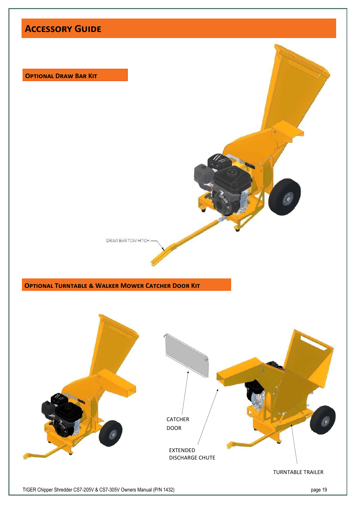